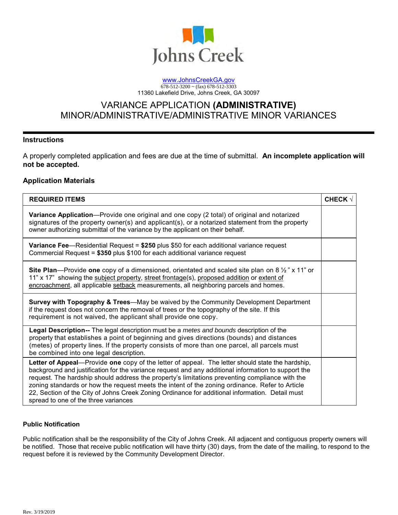

#### [www.JohnsCreekGA.gov](http://www.johnscreekga.gov/)  $678-512-3200 \sim (far) 678-512-3303$ 11360 Lakefield Drive, Johns Creek, GA 30097

# VARIANCE APPLICATION **(ADMINISTRATIVE)** MINOR/ADMINISTRATIVE/ADMINISTRATIVE MINOR VARIANCES

## **Instructions**

A properly completed application and fees are due at the time of submittal. **An incomplete application will not be accepted.**

# **Application Materials**

| <b>REQUIRED ITEMS</b>                                                                                                                                                                                                                                                                                                                                                                                                                                                                                                                                  | <b>CHECK V</b> |
|--------------------------------------------------------------------------------------------------------------------------------------------------------------------------------------------------------------------------------------------------------------------------------------------------------------------------------------------------------------------------------------------------------------------------------------------------------------------------------------------------------------------------------------------------------|----------------|
| <b>Variance Application</b> —Provide one original and one copy (2 total) of original and notarized<br>signatures of the property owner(s) and applicant(s), or a notarized statement from the property<br>owner authorizing submittal of the variance by the applicant on their behalf.                                                                                                                                                                                                                                                                |                |
| Variance Fee-Residential Request = \$250 plus \$50 for each additional variance request<br>Commercial Request = $$350$ plus \$100 for each additional variance request                                                                                                                                                                                                                                                                                                                                                                                 |                |
| <b>Site Plan</b> —Provide one copy of a dimensioned, orientated and scaled site plan on 8 $\frac{1}{2}$ " x 11" or<br>11" x 17" showing the subject property, street frontage(s), proposed addition or extent of<br>encroachment, all applicable setback measurements, all neighboring parcels and homes.                                                                                                                                                                                                                                              |                |
| <b>Survey with Topography &amp; Trees—May be waived by the Community Development Department</b><br>if the request does not concern the removal of trees or the topography of the site. If this<br>requirement is not waived, the applicant shall provide one copy.                                                                                                                                                                                                                                                                                     |                |
| Legal Description-- The legal description must be a metes and bounds description of the<br>property that establishes a point of beginning and gives directions (bounds) and distances<br>(metes) of property lines. If the property consists of more than one parcel, all parcels must<br>be combined into one legal description.                                                                                                                                                                                                                      |                |
| Letter of Appeal—Provide one copy of the letter of appeal. The letter should state the hardship,<br>background and justification for the variance request and any additional information to support the<br>request. The hardship should address the property's limitations preventing compliance with the<br>zoning standards or how the request meets the intent of the zoning ordinance. Refer to Article<br>22, Section of the City of Johns Creek Zoning Ordinance for additional information. Detail must<br>spread to one of the three variances |                |

### **Public Notification**

Public notification shall be the responsibility of the City of Johns Creek. All adjacent and contiguous property owners will be notified. Those that receive public notification will have thirty (30) days, from the date of the mailing, to respond to the request before it is reviewed by the Community Development Director.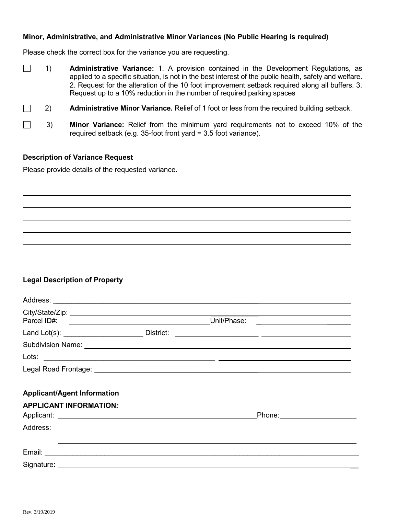# **Minor, Administrative, and Administrative Minor Variances (No Public Hearing is required)**

Please check the correct box for the variance you are requesting.

| <b>Administrative Variance:</b> 1. A provision contained in the Development Regulations, as            |
|--------------------------------------------------------------------------------------------------------|
| applied to a specific situation, is not in the best interest of the public health, safety and welfare. |
| 2. Request for the alteration of the 10 foot improvement setback required along all buffers. 3.        |
| Request up to a 10% reduction in the number of required parking spaces                                 |
|                                                                                                        |

- 2) **Administrative Minor Variance.** Relief of 1 foot or less from the required building setback.
- $\Box$ 3) **Minor Variance:** Relief from the minimum yard requirements not to exceed 10% of the required setback (e.g. 35-foot front yard = 3.5 foot variance).

# **Description of Variance Request**

Please provide details of the requested variance.

# **Legal Description of Property**

|                                                                     | Unit/Phase:                                                                                                          | <u> The Communication of the Communication of the Communication of the Communication of the Communication of the Co</u> |  |
|---------------------------------------------------------------------|----------------------------------------------------------------------------------------------------------------------|-------------------------------------------------------------------------------------------------------------------------|--|
| Land Lot(s): ___________________________________ District:          | <u> Alexandria de la contrada de la contrada de la contrada de la contrada de la contrada de la contrada de la c</u> |                                                                                                                         |  |
|                                                                     |                                                                                                                      |                                                                                                                         |  |
|                                                                     |                                                                                                                      |                                                                                                                         |  |
|                                                                     |                                                                                                                      |                                                                                                                         |  |
| <b>Applicant/Agent Information</b><br><b>APPLICANT INFORMATION:</b> |                                                                                                                      |                                                                                                                         |  |
|                                                                     | Phone: 2000 2000 2010 2020 2020 2020 2021 2022 2021 2021 2022 2021 2022 2022 2022 2022 2022 2022 2023 2021 20        |                                                                                                                         |  |
|                                                                     |                                                                                                                      |                                                                                                                         |  |
|                                                                     |                                                                                                                      |                                                                                                                         |  |
|                                                                     |                                                                                                                      |                                                                                                                         |  |